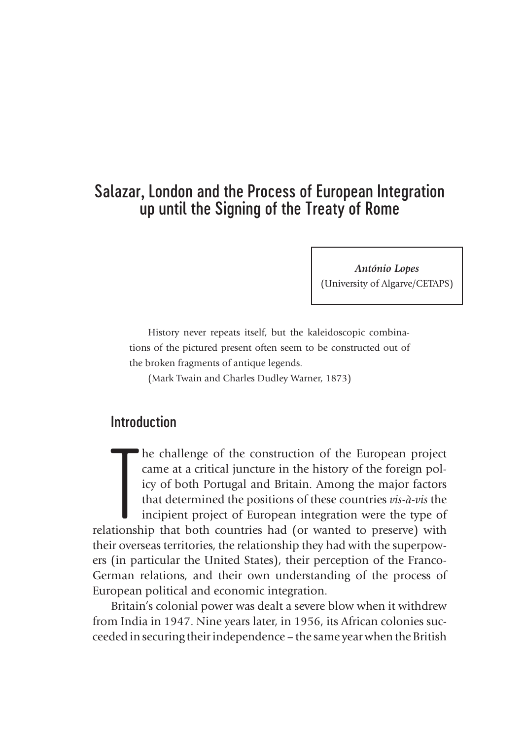# Salazar, London and the Process of European Integration up until the Signing of the Treaty of Rome

*António Lopes* (University of Algarve/CETAPS)

History never repeats itself, but the kaleidoscopic combinations of the pictured present often seem to be constructed out of the broken fragments of antique legends.

(Mark Twain and Charles Dudley Warner, 1873)

## Introduction

The challenge of the construction of the European project came at a critical juncture in the history of the foreign policy of both Portugal and Britain. Among the major factors that determined the positions of these countr he challenge of the construction of the European project came at a critical juncture in the history of the foreign policy of both Portugal and Britain. Among the major factors that determined the positions of these countries *vis-à-vis* the incipient project of European integration were the type of their overseas territories, the relationship they had with the superpowers (in particular the United States), their perception of the Franco-German relations, and their own understanding of the process of European political and economic integration.

Britain's colonial power was dealt a severe blow when it withdrew from India in 1947. Nine years later, in 1956, its African colonies succeeded in securing their independence – the same year when the British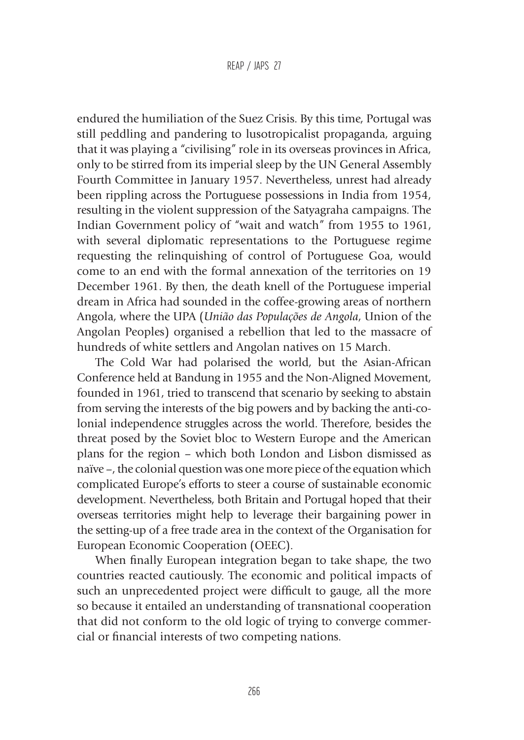endured the humiliation of the Suez Crisis. By this time, Portugal was still peddling and pandering to lusotropicalist propaganda, arguing that it was playing a "civilising" role in its overseas provinces in Africa, only to be stirred from its imperial sleep by the UN General Assembly Fourth Committee in January 1957. Nevertheless, unrest had already been rippling across the Portuguese possessions in India from 1954, resulting in the violent suppression of the Satyagraha campaigns. The Indian Government policy of "wait and watch" from 1955 to 1961, with several diplomatic representations to the Portuguese regime requesting the relinquishing of control of Portuguese Goa, would come to an end with the formal annexation of the territories on 19 December 1961. By then, the death knell of the Portuguese imperial dream in Africa had sounded in the coffee-growing areas of northern Angola, where the UPA (*União das Populações de Angola*, Union of the Angolan Peoples) organised a rebellion that led to the massacre of hundreds of white settlers and Angolan natives on 15 March.

The Cold War had polarised the world, but the Asian-African Conference held at Bandung in 1955 and the Non-Aligned Movement, founded in 1961, tried to transcend that scenario by seeking to abstain from serving the interests of the big powers and by backing the anti-colonial independence struggles across the world. Therefore, besides the threat posed by the Soviet bloc to Western Europe and the American plans for the region – which both London and Lisbon dismissed as naïve –, the colonial question was one more piece of the equation which complicated Europe's efforts to steer a course of sustainable economic development. Nevertheless, both Britain and Portugal hoped that their overseas territories might help to leverage their bargaining power in the setting-up of a free trade area in the context of the Organisation for European Economic Cooperation (OEEC).

When finally European integration began to take shape, the two countries reacted cautiously. The economic and political impacts of such an unprecedented project were difficult to gauge, all the more so because it entailed an understanding of transnational cooperation that did not conform to the old logic of trying to converge commercial or financial interests of two competing nations.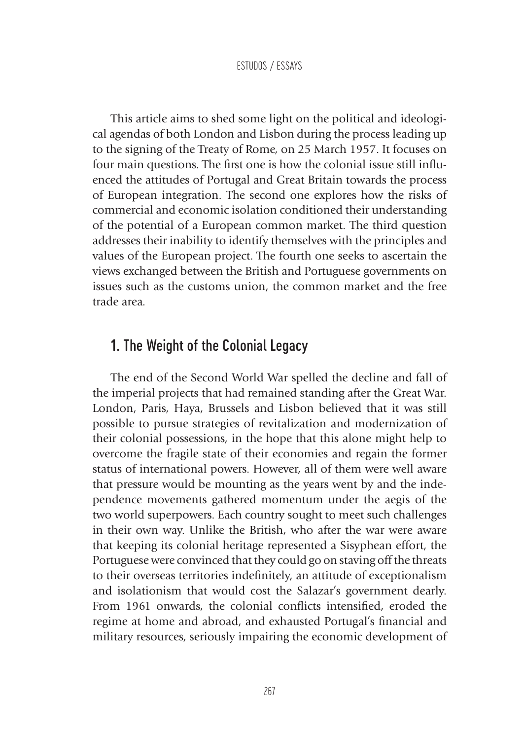This article aims to shed some light on the political and ideological agendas of both London and Lisbon during the process leading up to the signing of the Treaty of Rome, on 25 March 1957. It focuses on four main questions. The first one is how the colonial issue still influenced the attitudes of Portugal and Great Britain towards the process of European integration. The second one explores how the risks of commercial and economic isolation conditioned their understanding of the potential of a European common market. The third question addresses their inability to identify themselves with the principles and values of the European project. The fourth one seeks to ascertain the views exchanged between the British and Portuguese governments on issues such as the customs union, the common market and the free trade area.

## 1. The Weight of the Colonial Legacy

The end of the Second World War spelled the decline and fall of the imperial projects that had remained standing after the Great War. London, Paris, Haya, Brussels and Lisbon believed that it was still possible to pursue strategies of revitalization and modernization of their colonial possessions, in the hope that this alone might help to overcome the fragile state of their economies and regain the former status of international powers. However, all of them were well aware that pressure would be mounting as the years went by and the independence movements gathered momentum under the aegis of the two world superpowers. Each country sought to meet such challenges in their own way. Unlike the British, who after the war were aware that keeping its colonial heritage represented a Sisyphean effort, the Portuguese were convinced that they could go on staving off the threats to their overseas territories indefinitely, an attitude of exceptionalism and isolationism that would cost the Salazar's government dearly. From 1961 onwards, the colonial conflicts intensified, eroded the regime at home and abroad, and exhausted Portugal's financial and military resources, seriously impairing the economic development of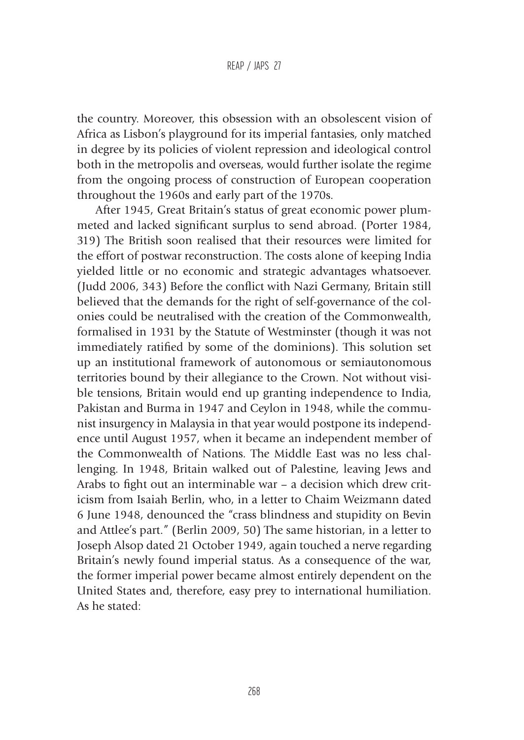the country. Moreover, this obsession with an obsolescent vision of Africa as Lisbon's playground for its imperial fantasies, only matched in degree by its policies of violent repression and ideological control both in the metropolis and overseas, would further isolate the regime from the ongoing process of construction of European cooperation throughout the 1960s and early part of the 1970s.

After 1945, Great Britain's status of great economic power plummeted and lacked significant surplus to send abroad. (Porter 1984, 319) The British soon realised that their resources were limited for the effort of postwar reconstruction. The costs alone of keeping India yielded little or no economic and strategic advantages whatsoever. (Judd 2006, 343) Before the conflict with Nazi Germany, Britain still believed that the demands for the right of self-governance of the colonies could be neutralised with the creation of the Commonwealth, formalised in 1931 by the Statute of Westminster (though it was not immediately ratified by some of the dominions). This solution set up an institutional framework of autonomous or semiautonomous territories bound by their allegiance to the Crown. Not without visible tensions, Britain would end up granting independence to India, Pakistan and Burma in 1947 and Ceylon in 1948, while the communist insurgency in Malaysia in that year would postpone its independence until August 1957, when it became an independent member of the Commonwealth of Nations. The Middle East was no less challenging. In 1948, Britain walked out of Palestine, leaving Jews and Arabs to fight out an interminable war – a decision which drew criticism from Isaiah Berlin, who, in a letter to Chaim Weizmann dated 6 June 1948, denounced the "crass blindness and stupidity on Bevin and Attlee's part." (Berlin 2009, 50) The same historian, in a letter to Joseph Alsop dated 21 October 1949, again touched a nerve regarding Britain's newly found imperial status. As a consequence of the war, the former imperial power became almost entirely dependent on the United States and, therefore, easy prey to international humiliation. As he stated: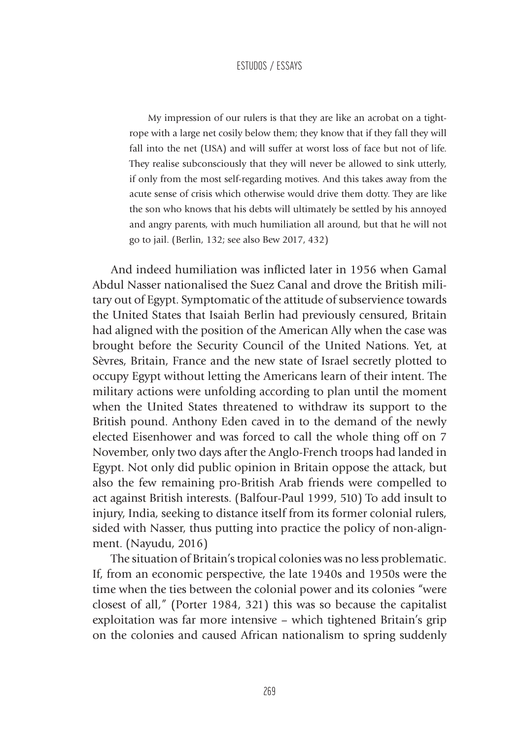My impression of our rulers is that they are like an acrobat on a tightrope with a large net cosily below them; they know that if they fall they will fall into the net (USA) and will suffer at worst loss of face but not of life. They realise subconsciously that they will never be allowed to sink utterly, if only from the most self-regarding motives. And this takes away from the acute sense of crisis which otherwise would drive them dotty. They are like the son who knows that his debts will ultimately be settled by his annoyed and angry parents, with much humiliation all around, but that he will not go to jail. (Berlin, 132; see also Bew 2017, 432)

And indeed humiliation was inflicted later in 1956 when Gamal Abdul Nasser nationalised the Suez Canal and drove the British military out of Egypt. Symptomatic of the attitude of subservience towards the United States that Isaiah Berlin had previously censured, Britain had aligned with the position of the American Ally when the case was brought before the Security Council of the United Nations. Yet, at Sèvres, Britain, France and the new state of Israel secretly plotted to occupy Egypt without letting the Americans learn of their intent. The military actions were unfolding according to plan until the moment when the United States threatened to withdraw its support to the British pound. Anthony Eden caved in to the demand of the newly elected Eisenhower and was forced to call the whole thing off on 7 November, only two days after the Anglo-French troops had landed in Egypt. Not only did public opinion in Britain oppose the attack, but also the few remaining pro-British Arab friends were compelled to act against British interests. (Balfour-Paul 1999, 510) To add insult to injury, India, seeking to distance itself from its former colonial rulers, sided with Nasser, thus putting into practice the policy of non-alignment. (Nayudu, 2016)

The situation of Britain's tropical colonies was no less problematic. If, from an economic perspective, the late 1940s and 1950s were the time when the ties between the colonial power and its colonies "were closest of all," (Porter 1984, 321) this was so because the capitalist exploitation was far more intensive – which tightened Britain's grip on the colonies and caused African nationalism to spring suddenly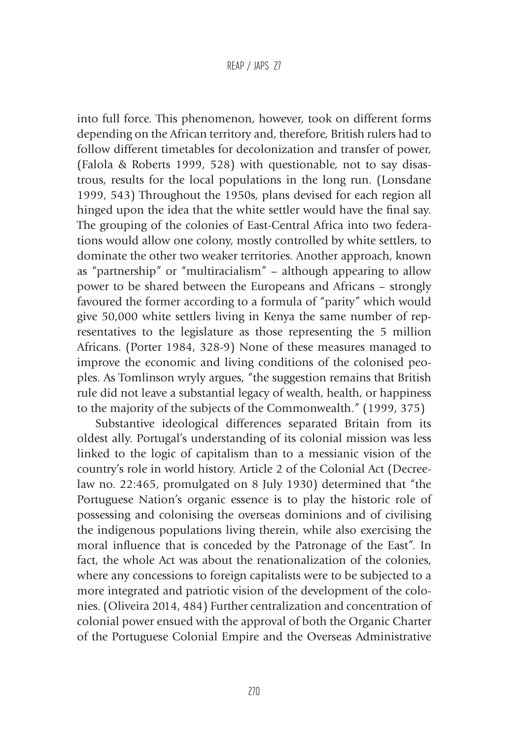into full force. This phenomenon, however, took on different forms depending on the African territory and, therefore, British rulers had to follow different timetables for decolonization and transfer of power, (Falola & Roberts 1999, 528) with questionable, not to say disastrous, results for the local populations in the long run. (Lonsdane 1999, 543) Throughout the 1950s, plans devised for each region all hinged upon the idea that the white settler would have the final say. The grouping of the colonies of East-Central Africa into two federations would allow one colony, mostly controlled by white settlers, to dominate the other two weaker territories. Another approach, known as "partnership" or "multiracialism" – although appearing to allow power to be shared between the Europeans and Africans – strongly favoured the former according to a formula of "parity" which would give 50,000 white settlers living in Kenya the same number of representatives to the legislature as those representing the 5 million Africans. (Porter 1984, 328-9) None of these measures managed to improve the economic and living conditions of the colonised peoples. As Tomlinson wryly argues, "the suggestion remains that British rule did not leave a substantial legacy of wealth, health, or happiness to the majority of the subjects of the Commonwealth." (1999, 375)

Substantive ideological differences separated Britain from its oldest ally. Portugal's understanding of its colonial mission was less linked to the logic of capitalism than to a messianic vision of the country's role in world history. Article 2 of the Colonial Act (Decreelaw no. 22:465, promulgated on 8 July 1930) determined that "the Portuguese Nation's organic essence is to play the historic role of possessing and colonising the overseas dominions and of civilising the indigenous populations living therein, while also exercising the moral influence that is conceded by the Patronage of the East". In fact, the whole Act was about the renationalization of the colonies, where any concessions to foreign capitalists were to be subjected to a more integrated and patriotic vision of the development of the colonies. (Oliveira 2014, 484) Further centralization and concentration of colonial power ensued with the approval of both the Organic Charter of the Portuguese Colonial Empire and the Overseas Administrative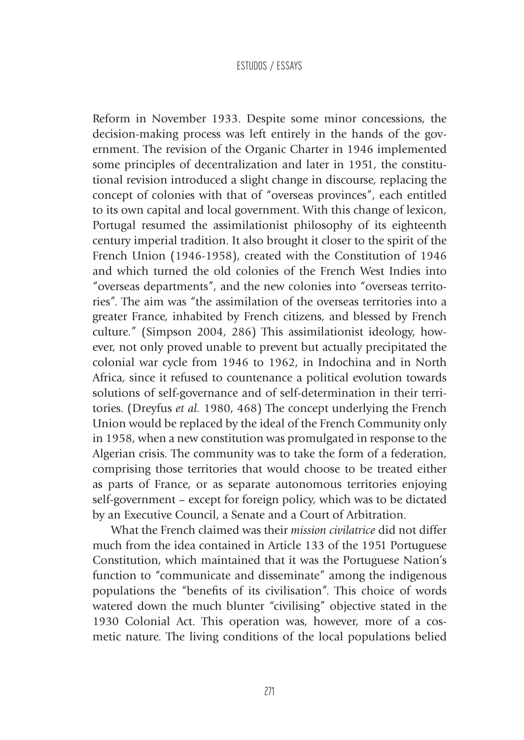Reform in November 1933. Despite some minor concessions, the decision-making process was left entirely in the hands of the government. The revision of the Organic Charter in 1946 implemented some principles of decentralization and later in 1951, the constitutional revision introduced a slight change in discourse, replacing the concept of colonies with that of "overseas provinces", each entitled to its own capital and local government. With this change of lexicon, Portugal resumed the assimilationist philosophy of its eighteenth century imperial tradition. It also brought it closer to the spirit of the French Union (1946-1958), created with the Constitution of 1946 and which turned the old colonies of the French West Indies into "overseas departments", and the new colonies into "overseas territories". The aim was "the assimilation of the overseas territories into a greater France, inhabited by French citizens, and blessed by French culture." (Simpson 2004, 286) This assimilationist ideology, however, not only proved unable to prevent but actually precipitated the colonial war cycle from 1946 to 1962, in Indochina and in North Africa, since it refused to countenance a political evolution towards solutions of self-governance and of self-determination in their territories. (Dreyfus *et al.* 1980, 468) The concept underlying the French Union would be replaced by the ideal of the French Community only in 1958, when a new constitution was promulgated in response to the Algerian crisis. The community was to take the form of a federation, comprising those territories that would choose to be treated either as parts of France, or as separate autonomous territories enjoying self-government – except for foreign policy, which was to be dictated by an Executive Council, a Senate and a Court of Arbitration.

What the French claimed was their *mission civilatrice* did not differ much from the idea contained in Article 133 of the 1951 Portuguese Constitution, which maintained that it was the Portuguese Nation's function to "communicate and disseminate" among the indigenous populations the "benefits of its civilisation". This choice of words watered down the much blunter "civilising" objective stated in the 1930 Colonial Act. This operation was, however, more of a cosmetic nature. The living conditions of the local populations belied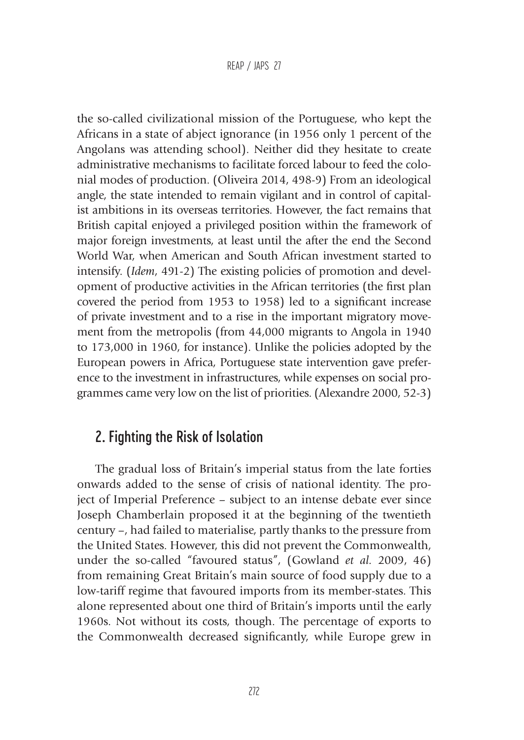#### REAP / JAPS 27

the so-called civilizational mission of the Portuguese, who kept the Africans in a state of abject ignorance (in 1956 only 1 percent of the Angolans was attending school). Neither did they hesitate to create administrative mechanisms to facilitate forced labour to feed the colonial modes of production. (Oliveira 2014, 498-9) From an ideological angle, the state intended to remain vigilant and in control of capitalist ambitions in its overseas territories. However, the fact remains that British capital enjoyed a privileged position within the framework of major foreign investments, at least until the after the end the Second World War, when American and South African investment started to intensify. (*Idem*, 491-2) The existing policies of promotion and development of productive activities in the African territories (the first plan covered the period from 1953 to 1958) led to a significant increase of private investment and to a rise in the important migratory movement from the metropolis (from 44,000 migrants to Angola in 1940 to 173,000 in 1960, for instance). Unlike the policies adopted by the European powers in Africa, Portuguese state intervention gave preference to the investment in infrastructures, while expenses on social programmes came very low on the list of priorities. (Alexandre 2000, 52-3)

### 2. Fighting the Risk of Isolation

The gradual loss of Britain's imperial status from the late forties onwards added to the sense of crisis of national identity. The project of Imperial Preference – subject to an intense debate ever since Joseph Chamberlain proposed it at the beginning of the twentieth century –, had failed to materialise, partly thanks to the pressure from the United States. However, this did not prevent the Commonwealth, under the so-called "favoured status", (Gowland *et al.* 2009, 46) from remaining Great Britain's main source of food supply due to a low-tariff regime that favoured imports from its member-states. This alone represented about one third of Britain's imports until the early 1960s. Not without its costs, though. The percentage of exports to the Commonwealth decreased significantly, while Europe grew in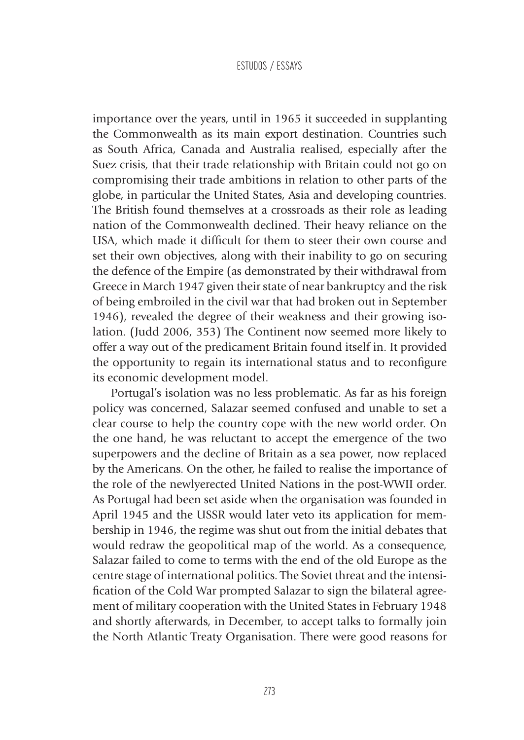importance over the years, until in 1965 it succeeded in supplanting the Commonwealth as its main export destination. Countries such as South Africa, Canada and Australia realised, especially after the Suez crisis, that their trade relationship with Britain could not go on compromising their trade ambitions in relation to other parts of the globe, in particular the United States, Asia and developing countries. The British found themselves at a crossroads as their role as leading nation of the Commonwealth declined. Their heavy reliance on the USA, which made it difficult for them to steer their own course and set their own objectives, along with their inability to go on securing the defence of the Empire (as demonstrated by their withdrawal from Greece in March 1947 given their state of near bankruptcy and the risk of being embroiled in the civil war that had broken out in September 1946), revealed the degree of their weakness and their growing isolation. (Judd 2006, 353) The Continent now seemed more likely to offer a way out of the predicament Britain found itself in. It provided the opportunity to regain its international status and to reconfigure its economic development model.

Portugal's isolation was no less problematic. As far as his foreign policy was concerned, Salazar seemed confused and unable to set a clear course to help the country cope with the new world order. On the one hand, he was reluctant to accept the emergence of the two superpowers and the decline of Britain as a sea power, now replaced by the Americans. On the other, he failed to realise the importance of the role of the newlyerected United Nations in the post-WWII order. As Portugal had been set aside when the organisation was founded in April 1945 and the USSR would later veto its application for membership in 1946, the regime was shut out from the initial debates that would redraw the geopolitical map of the world. As a consequence, Salazar failed to come to terms with the end of the old Europe as the centre stage of international politics. The Soviet threat and the intensification of the Cold War prompted Salazar to sign the bilateral agreement of military cooperation with the United States in February 1948 and shortly afterwards, in December, to accept talks to formally join the North Atlantic Treaty Organisation. There were good reasons for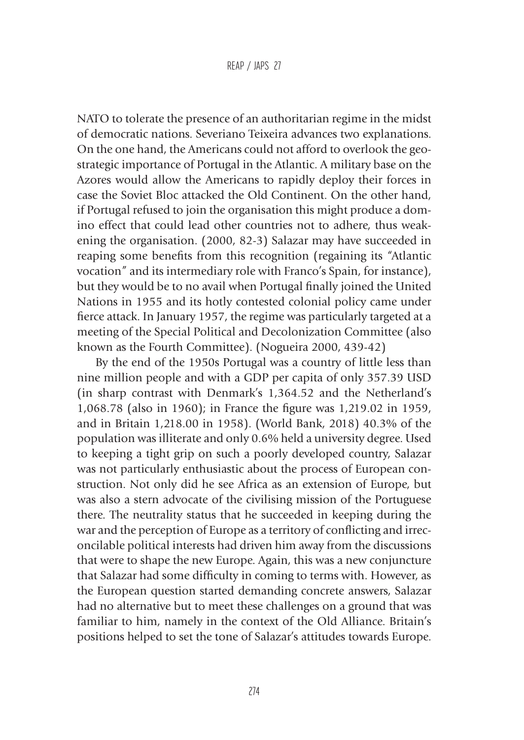NATO to tolerate the presence of an authoritarian regime in the midst of democratic nations. Severiano Teixeira advances two explanations. On the one hand, the Americans could not afford to overlook the geostrategic importance of Portugal in the Atlantic. A military base on the Azores would allow the Americans to rapidly deploy their forces in case the Soviet Bloc attacked the Old Continent. On the other hand, if Portugal refused to join the organisation this might produce a domino effect that could lead other countries not to adhere, thus weakening the organisation. (2000, 82-3) Salazar may have succeeded in reaping some benefits from this recognition (regaining its "Atlantic vocation" and its intermediary role with Franco's Spain, for instance), but they would be to no avail when Portugal finally joined the United Nations in 1955 and its hotly contested colonial policy came under fierce attack. In January 1957, the regime was particularly targeted at a meeting of the Special Political and Decolonization Committee (also known as the Fourth Committee). (Nogueira 2000, 439-42)

By the end of the 1950s Portugal was a country of little less than nine million people and with a GDP per capita of only 357.39 USD (in sharp contrast with Denmark's 1,364.52 and the Netherland's 1,068.78 (also in 1960); in France the figure was 1,219.02 in 1959, and in Britain 1,218.00 in 1958). (World Bank, 2018) 40.3% of the population was illiterate and only 0.6% held a university degree. Used to keeping a tight grip on such a poorly developed country, Salazar was not particularly enthusiastic about the process of European construction. Not only did he see Africa as an extension of Europe, but was also a stern advocate of the civilising mission of the Portuguese there. The neutrality status that he succeeded in keeping during the war and the perception of Europe as a territory of conflicting and irreconcilable political interests had driven him away from the discussions that were to shape the new Europe. Again, this was a new conjuncture that Salazar had some difficulty in coming to terms with. However, as the European question started demanding concrete answers, Salazar had no alternative but to meet these challenges on a ground that was familiar to him, namely in the context of the Old Alliance. Britain's positions helped to set the tone of Salazar's attitudes towards Europe.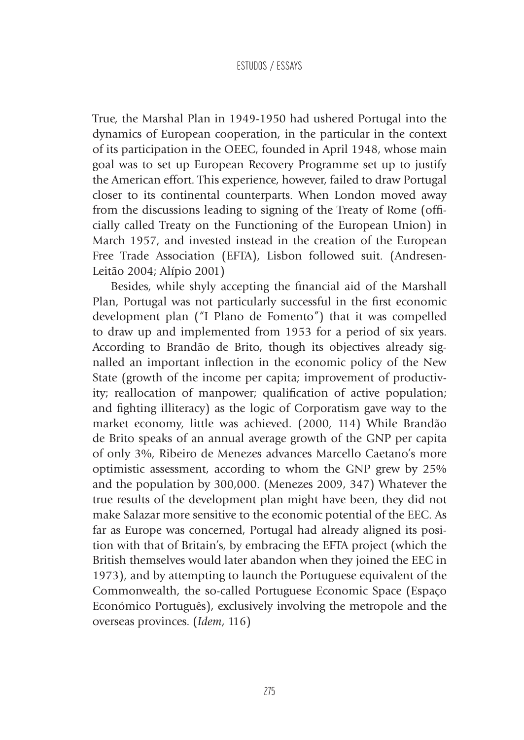True, the Marshal Plan in 1949-1950 had ushered Portugal into the dynamics of European cooperation, in the particular in the context of its participation in the OEEC, founded in April 1948, whose main goal was to set up European Recovery Programme set up to justify the American effort. This experience, however, failed to draw Portugal closer to its continental counterparts. When London moved away from the discussions leading to signing of the Treaty of Rome (officially called Treaty on the Functioning of the European Union) in March 1957, and invested instead in the creation of the European Free Trade Association (EFTA), Lisbon followed suit. (Andresen-Leitão 2004; Alípio 2001)

Besides, while shyly accepting the financial aid of the Marshall Plan, Portugal was not particularly successful in the first economic development plan ("I Plano de Fomento") that it was compelled to draw up and implemented from 1953 for a period of six years. According to Brandão de Brito, though its objectives already signalled an important inflection in the economic policy of the New State (growth of the income per capita; improvement of productivity; reallocation of manpower; qualification of active population; and fighting illiteracy) as the logic of Corporatism gave way to the market economy, little was achieved. (2000, 114) While Brandão de Brito speaks of an annual average growth of the GNP per capita of only 3%, Ribeiro de Menezes advances Marcello Caetano's more optimistic assessment, according to whom the GNP grew by 25% and the population by 300,000. (Menezes 2009, 347) Whatever the true results of the development plan might have been, they did not make Salazar more sensitive to the economic potential of the EEC. As far as Europe was concerned, Portugal had already aligned its position with that of Britain's, by embracing the EFTA project (which the British themselves would later abandon when they joined the EEC in 1973), and by attempting to launch the Portuguese equivalent of the Commonwealth, the so-called Portuguese Economic Space (Espaço Económico Português), exclusively involving the metropole and the overseas provinces. (*Idem*, 116)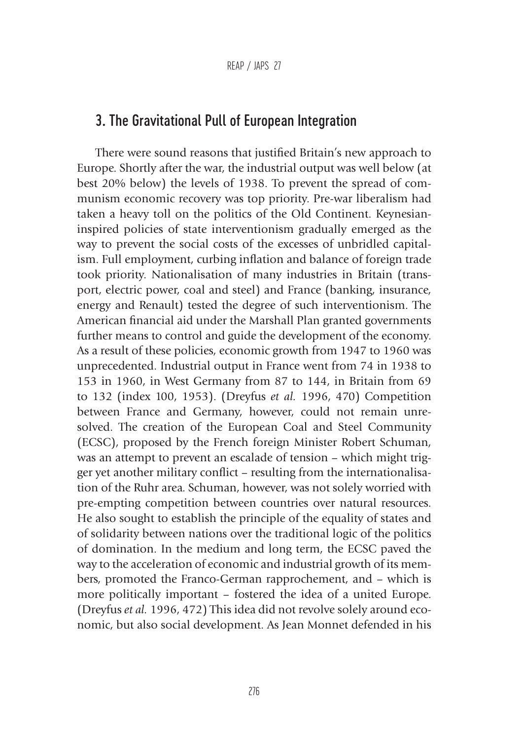# 3. The Gravitational Pull of European Integration

There were sound reasons that justified Britain's new approach to Europe. Shortly after the war, the industrial output was well below (at best 20% below) the levels of 1938. To prevent the spread of communism economic recovery was top priority. Pre-war liberalism had taken a heavy toll on the politics of the Old Continent. Keynesianinspired policies of state interventionism gradually emerged as the way to prevent the social costs of the excesses of unbridled capitalism. Full employment, curbing inflation and balance of foreign trade took priority. Nationalisation of many industries in Britain (transport, electric power, coal and steel) and France (banking, insurance, energy and Renault) tested the degree of such interventionism. The American financial aid under the Marshall Plan granted governments further means to control and guide the development of the economy. As a result of these policies, economic growth from 1947 to 1960 was unprecedented. Industrial output in France went from 74 in 1938 to 153 in 1960, in West Germany from 87 to 144, in Britain from 69 to 132 (index 100, 1953). (Dreyfus *et al.* 1996, 470) Competition between France and Germany, however, could not remain unresolved. The creation of the European Coal and Steel Community (ECSC), proposed by the French foreign Minister Robert Schuman, was an attempt to prevent an escalade of tension – which might trigger yet another military conflict – resulting from the internationalisation of the Ruhr area. Schuman, however, was not solely worried with pre-empting competition between countries over natural resources. He also sought to establish the principle of the equality of states and of solidarity between nations over the traditional logic of the politics of domination. In the medium and long term, the ECSC paved the way to the acceleration of economic and industrial growth of its members, promoted the Franco-German rapprochement, and – which is more politically important – fostered the idea of a united Europe. (Dreyfus *et al.* 1996, 472) This idea did not revolve solely around economic, but also social development. As Jean Monnet defended in his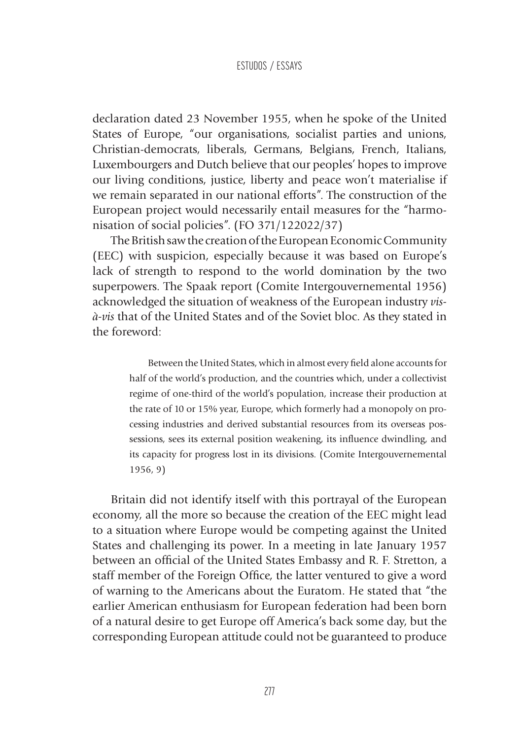declaration dated 23 November 1955, when he spoke of the United States of Europe, "our organisations, socialist parties and unions, Christian-democrats, liberals, Germans, Belgians, French, Italians, Luxembourgers and Dutch believe that our peoples' hopes to improve our living conditions, justice, liberty and peace won't materialise if we remain separated in our national efforts". The construction of the European project would necessarily entail measures for the "harmonisation of social policies". (FO 371/122022/37)

The British saw the creation of the European Economic Community (EEC) with suspicion, especially because it was based on Europe's lack of strength to respond to the world domination by the two superpowers. The Spaak report (Comite Intergouvernemental 1956) acknowledged the situation of weakness of the European industry *visà-vis* that of the United States and of the Soviet bloc. As they stated in the foreword:

> Between the United States, which in almost every field alone accounts for half of the world's production, and the countries which, under a collectivist regime of one-third of the world's population, increase their production at the rate of 10 or 15% year, Europe, which formerly had a monopoly on processing industries and derived substantial resources from its overseas possessions, sees its external position weakening, its influence dwindling, and its capacity for progress lost in its divisions. (Comite Intergouvernemental 1956, 9)

Britain did not identify itself with this portrayal of the European economy, all the more so because the creation of the EEC might lead to a situation where Europe would be competing against the United States and challenging its power. In a meeting in late January 1957 between an official of the United States Embassy and R. F. Stretton, a staff member of the Foreign Office, the latter ventured to give a word of warning to the Americans about the Euratom. He stated that "the earlier American enthusiasm for European federation had been born of a natural desire to get Europe off America's back some day, but the corresponding European attitude could not be guaranteed to produce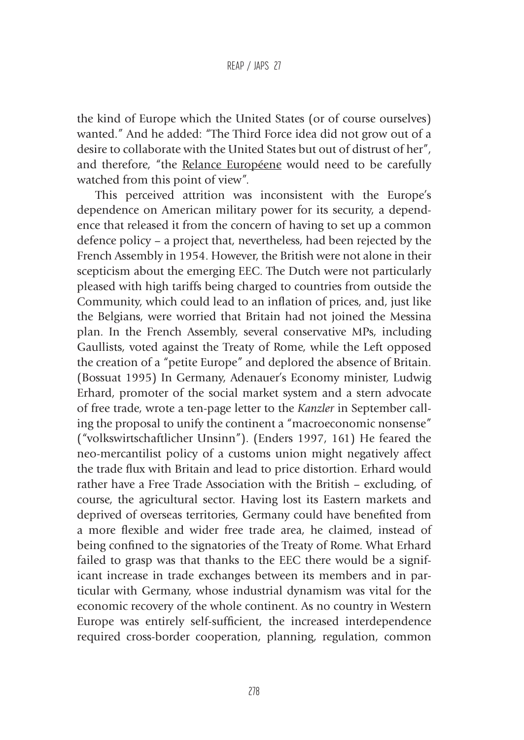REAP / JAPS 27

the kind of Europe which the United States (or of course ourselves) wanted." And he added: "The Third Force idea did not grow out of a desire to collaborate with the United States but out of distrust of her", and therefore, "the Relance Européene would need to be carefully watched from this point of view".

This perceived attrition was inconsistent with the Europe's dependence on American military power for its security, a dependence that released it from the concern of having to set up a common defence policy – a project that, nevertheless, had been rejected by the French Assembly in 1954. However, the British were not alone in their scepticism about the emerging EEC. The Dutch were not particularly pleased with high tariffs being charged to countries from outside the Community, which could lead to an inflation of prices, and, just like the Belgians, were worried that Britain had not joined the Messina plan. In the French Assembly, several conservative MPs, including Gaullists, voted against the Treaty of Rome, while the Left opposed the creation of a "petite Europe" and deplored the absence of Britain. (Bossuat 1995) In Germany, Adenauer's Economy minister, Ludwig Erhard, promoter of the social market system and a stern advocate of free trade, wrote a ten-page letter to the *Kanzler* in September calling the proposal to unify the continent a "macroeconomic nonsense" ("volkswirtschaftlicher Unsinn"). (Enders 1997, 161) He feared the neo-mercantilist policy of a customs union might negatively affect the trade flux with Britain and lead to price distortion. Erhard would rather have a Free Trade Association with the British – excluding, of course, the agricultural sector. Having lost its Eastern markets and deprived of overseas territories, Germany could have benefited from a more flexible and wider free trade area, he claimed, instead of being confined to the signatories of the Treaty of Rome. What Erhard failed to grasp was that thanks to the EEC there would be a significant increase in trade exchanges between its members and in particular with Germany, whose industrial dynamism was vital for the economic recovery of the whole continent. As no country in Western Europe was entirely self-sufficient, the increased interdependence required cross-border cooperation, planning, regulation, common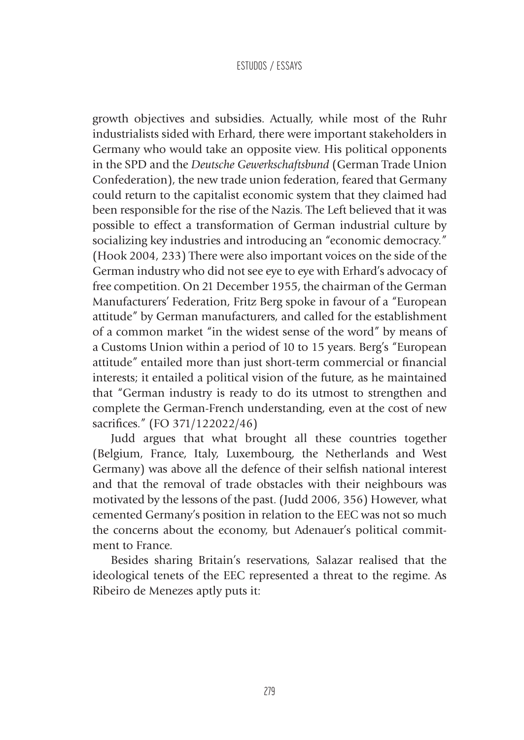growth objectives and subsidies. Actually, while most of the Ruhr industrialists sided with Erhard, there were important stakeholders in Germany who would take an opposite view. His political opponents in the SPD and the *Deutsche Gewerkschaftsbund* (German Trade Union Confederation), the new trade union federation, feared that Germany could return to the capitalist economic system that they claimed had been responsible for the rise of the Nazis. The Left believed that it was possible to effect a transformation of German industrial culture by socializing key industries and introducing an "economic democracy." (Hook 2004, 233) There were also important voices on the side of the German industry who did not see eye to eye with Erhard's advocacy of free competition. On 21 December 1955, the chairman of the German Manufacturers' Federation, Fritz Berg spoke in favour of a "European attitude" by German manufacturers, and called for the establishment of a common market "in the widest sense of the word" by means of a Customs Union within a period of 10 to 15 years. Berg's "European attitude" entailed more than just short-term commercial or financial interests; it entailed a political vision of the future, as he maintained that "German industry is ready to do its utmost to strengthen and complete the German-French understanding, even at the cost of new sacrifices." (FO 371/122022/46)

Judd argues that what brought all these countries together (Belgium, France, Italy, Luxembourg, the Netherlands and West Germany) was above all the defence of their selfish national interest and that the removal of trade obstacles with their neighbours was motivated by the lessons of the past. (Judd 2006, 356) However, what cemented Germany's position in relation to the EEC was not so much the concerns about the economy, but Adenauer's political commitment to France.

Besides sharing Britain's reservations, Salazar realised that the ideological tenets of the EEC represented a threat to the regime. As Ribeiro de Menezes aptly puts it: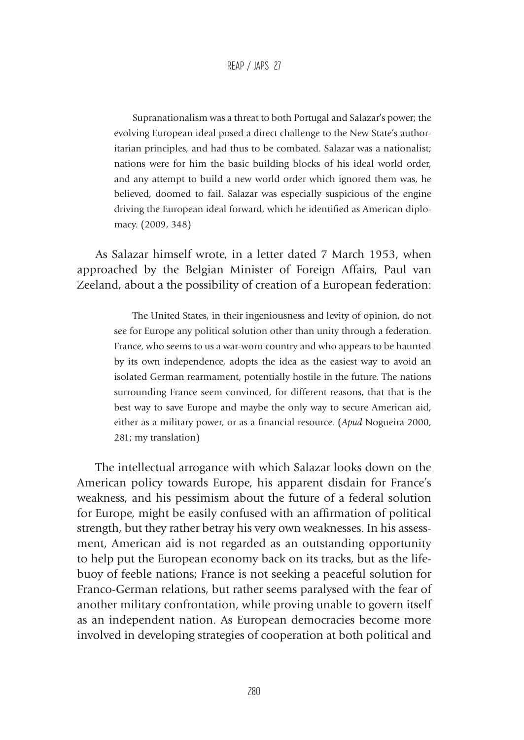Supranationalism was a threat to both Portugal and Salazar's power; the evolving European ideal posed a direct challenge to the New State's authoritarian principles, and had thus to be combated. Salazar was a nationalist; nations were for him the basic building blocks of his ideal world order, and any attempt to build a new world order which ignored them was, he believed, doomed to fail. Salazar was especially suspicious of the engine driving the European ideal forward, which he identified as American diplomacy. (2009, 348)

As Salazar himself wrote, in a letter dated 7 March 1953, when approached by the Belgian Minister of Foreign Affairs, Paul van Zeeland, about a the possibility of creation of a European federation:

> The United States, in their ingeniousness and levity of opinion, do not see for Europe any political solution other than unity through a federation. France, who seems to us a war-worn country and who appears to be haunted by its own independence, adopts the idea as the easiest way to avoid an isolated German rearmament, potentially hostile in the future. The nations surrounding France seem convinced, for different reasons, that that is the best way to save Europe and maybe the only way to secure American aid, either as a military power, or as a financial resource. (*Apud* Nogueira 2000, 281; my translation)

The intellectual arrogance with which Salazar looks down on the American policy towards Europe, his apparent disdain for France's weakness, and his pessimism about the future of a federal solution for Europe, might be easily confused with an affirmation of political strength, but they rather betray his very own weaknesses. In his assessment, American aid is not regarded as an outstanding opportunity to help put the European economy back on its tracks, but as the lifebuoy of feeble nations; France is not seeking a peaceful solution for Franco-German relations, but rather seems paralysed with the fear of another military confrontation, while proving unable to govern itself as an independent nation. As European democracies become more involved in developing strategies of cooperation at both political and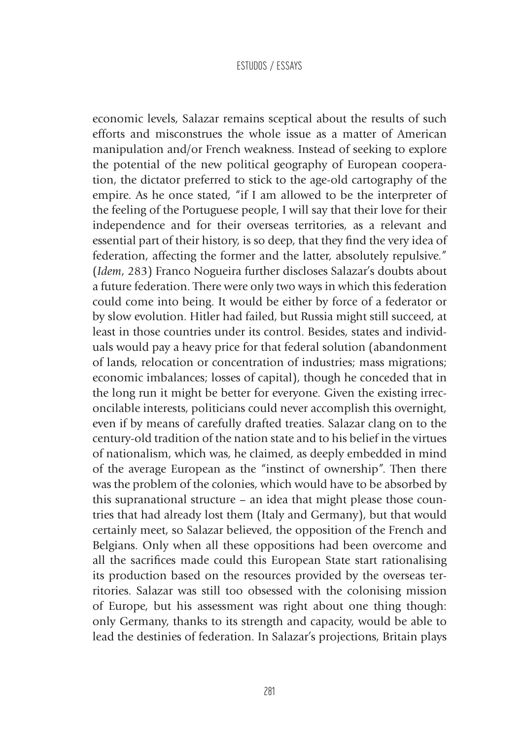economic levels, Salazar remains sceptical about the results of such efforts and misconstrues the whole issue as a matter of American manipulation and/or French weakness. Instead of seeking to explore the potential of the new political geography of European cooperation, the dictator preferred to stick to the age-old cartography of the empire. As he once stated, "if I am allowed to be the interpreter of the feeling of the Portuguese people, I will say that their love for their independence and for their overseas territories, as a relevant and essential part of their history, is so deep, that they find the very idea of federation, affecting the former and the latter, absolutely repulsive." (*Idem*, 283) Franco Nogueira further discloses Salazar's doubts about a future federation. There were only two ways in which this federation could come into being. It would be either by force of a federator or by slow evolution. Hitler had failed, but Russia might still succeed, at least in those countries under its control. Besides, states and individuals would pay a heavy price for that federal solution (abandonment of lands, relocation or concentration of industries; mass migrations; economic imbalances; losses of capital), though he conceded that in the long run it might be better for everyone. Given the existing irreconcilable interests, politicians could never accomplish this overnight, even if by means of carefully drafted treaties. Salazar clang on to the century-old tradition of the nation state and to his belief in the virtues of nationalism, which was, he claimed, as deeply embedded in mind of the average European as the "instinct of ownership". Then there was the problem of the colonies, which would have to be absorbed by this supranational structure – an idea that might please those countries that had already lost them (Italy and Germany), but that would certainly meet, so Salazar believed, the opposition of the French and Belgians. Only when all these oppositions had been overcome and all the sacrifices made could this European State start rationalising its production based on the resources provided by the overseas territories. Salazar was still too obsessed with the colonising mission of Europe, but his assessment was right about one thing though: only Germany, thanks to its strength and capacity, would be able to lead the destinies of federation. In Salazar's projections, Britain plays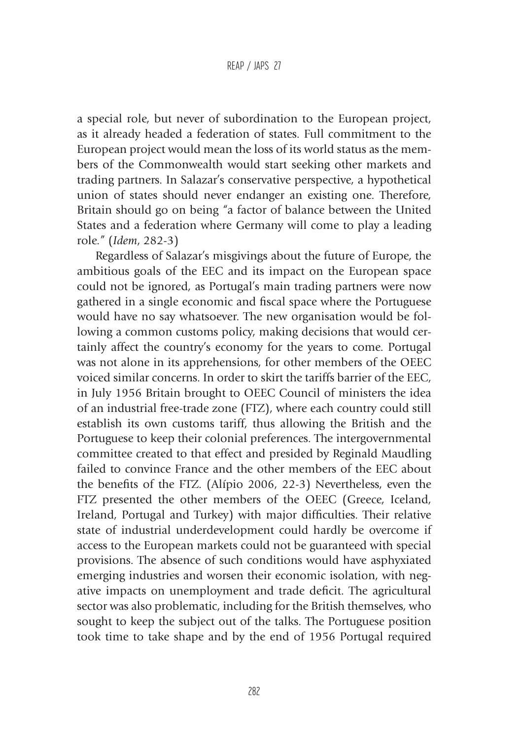a special role, but never of subordination to the European project, as it already headed a federation of states. Full commitment to the European project would mean the loss of its world status as the members of the Commonwealth would start seeking other markets and trading partners. In Salazar's conservative perspective, a hypothetical union of states should never endanger an existing one. Therefore, Britain should go on being "a factor of balance between the United States and a federation where Germany will come to play a leading role." (*Idem*, 282-3)

Regardless of Salazar's misgivings about the future of Europe, the ambitious goals of the EEC and its impact on the European space could not be ignored, as Portugal's main trading partners were now gathered in a single economic and fiscal space where the Portuguese would have no say whatsoever. The new organisation would be following a common customs policy, making decisions that would certainly affect the country's economy for the years to come. Portugal was not alone in its apprehensions, for other members of the OEEC voiced similar concerns. In order to skirt the tariffs barrier of the EEC, in July 1956 Britain brought to OEEC Council of ministers the idea of an industrial free-trade zone (FTZ), where each country could still establish its own customs tariff, thus allowing the British and the Portuguese to keep their colonial preferences. The intergovernmental committee created to that effect and presided by Reginald Maudling failed to convince France and the other members of the EEC about the benefits of the FTZ. (Alípio 2006, 22-3) Nevertheless, even the FTZ presented the other members of the OEEC (Greece, Iceland, Ireland, Portugal and Turkey) with major difficulties. Their relative state of industrial underdevelopment could hardly be overcome if access to the European markets could not be guaranteed with special provisions. The absence of such conditions would have asphyxiated emerging industries and worsen their economic isolation, with negative impacts on unemployment and trade deficit. The agricultural sector was also problematic, including for the British themselves, who sought to keep the subject out of the talks. The Portuguese position took time to take shape and by the end of 1956 Portugal required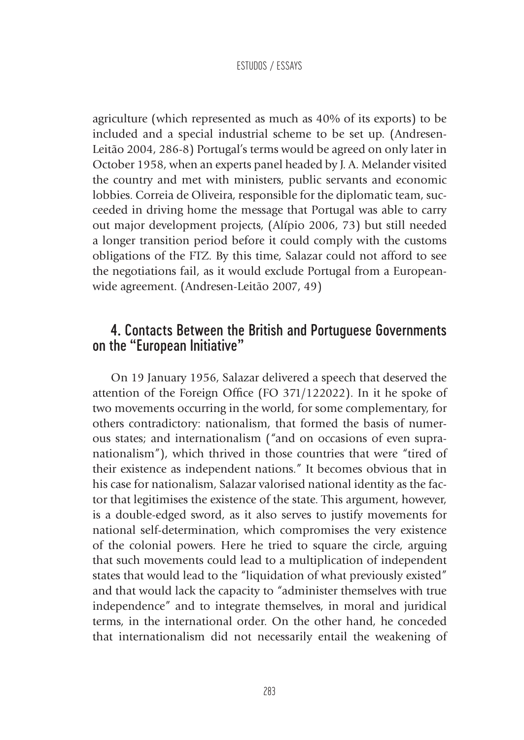agriculture (which represented as much as 40% of its exports) to be included and a special industrial scheme to be set up. (Andresen-Leitão 2004, 286-8) Portugal's terms would be agreed on only later in October 1958, when an experts panel headed by J. A. Melander visited the country and met with ministers, public servants and economic lobbies. Correia de Oliveira, responsible for the diplomatic team, succeeded in driving home the message that Portugal was able to carry out major development projects, (Alípio 2006, 73) but still needed a longer transition period before it could comply with the customs obligations of the FTZ. By this time, Salazar could not afford to see the negotiations fail, as it would exclude Portugal from a Europeanwide agreement. (Andresen-Leitão 2007, 49)

### 4. Contacts Between the British and Portuguese Governments on the "European Initiative"

On 19 January 1956, Salazar delivered a speech that deserved the attention of the Foreign Office (FO 371/122022). In it he spoke of two movements occurring in the world, for some complementary, for others contradictory: nationalism, that formed the basis of numerous states; and internationalism ("and on occasions of even supranationalism"), which thrived in those countries that were "tired of their existence as independent nations." It becomes obvious that in his case for nationalism, Salazar valorised national identity as the factor that legitimises the existence of the state. This argument, however, is a double-edged sword, as it also serves to justify movements for national self-determination, which compromises the very existence of the colonial powers. Here he tried to square the circle, arguing that such movements could lead to a multiplication of independent states that would lead to the "liquidation of what previously existed" and that would lack the capacity to "administer themselves with true independence" and to integrate themselves, in moral and juridical terms, in the international order. On the other hand, he conceded that internationalism did not necessarily entail the weakening of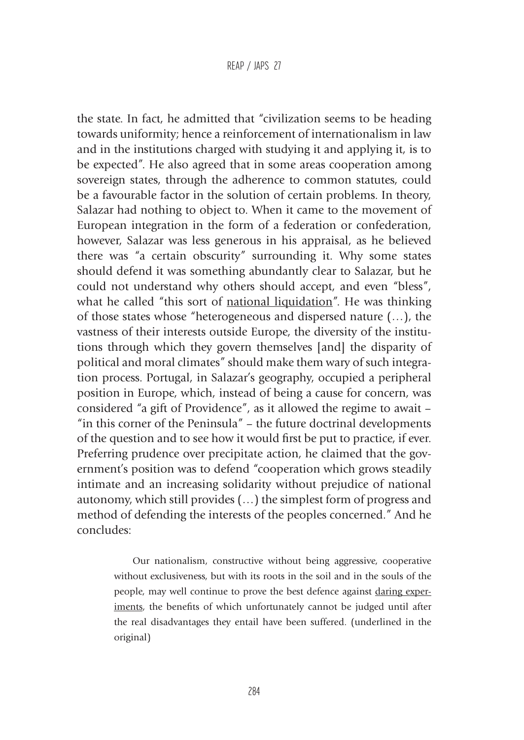#### REAP / JAPS 27

the state. In fact, he admitted that "civilization seems to be heading towards uniformity; hence a reinforcement of internationalism in law and in the institutions charged with studying it and applying it, is to be expected". He also agreed that in some areas cooperation among sovereign states, through the adherence to common statutes, could be a favourable factor in the solution of certain problems. In theory, Salazar had nothing to object to. When it came to the movement of European integration in the form of a federation or confederation, however, Salazar was less generous in his appraisal, as he believed there was "a certain obscurity" surrounding it. Why some states should defend it was something abundantly clear to Salazar, but he could not understand why others should accept, and even "bless", what he called "this sort of national liquidation". He was thinking of those states whose "heterogeneous and dispersed nature (…), the vastness of their interests outside Europe, the diversity of the institutions through which they govern themselves [and] the disparity of political and moral climates" should make them wary of such integration process. Portugal, in Salazar's geography, occupied a peripheral position in Europe, which, instead of being a cause for concern, was considered "a gift of Providence", as it allowed the regime to await – "in this corner of the Peninsula" – the future doctrinal developments of the question and to see how it would first be put to practice, if ever. Preferring prudence over precipitate action, he claimed that the government's position was to defend "cooperation which grows steadily intimate and an increasing solidarity without prejudice of national autonomy, which still provides (…) the simplest form of progress and method of defending the interests of the peoples concerned." And he concludes:

> Our nationalism, constructive without being aggressive, cooperative without exclusiveness, but with its roots in the soil and in the souls of the people, may well continue to prove the best defence against daring experiments, the benefits of which unfortunately cannot be judged until after the real disadvantages they entail have been suffered. (underlined in the original)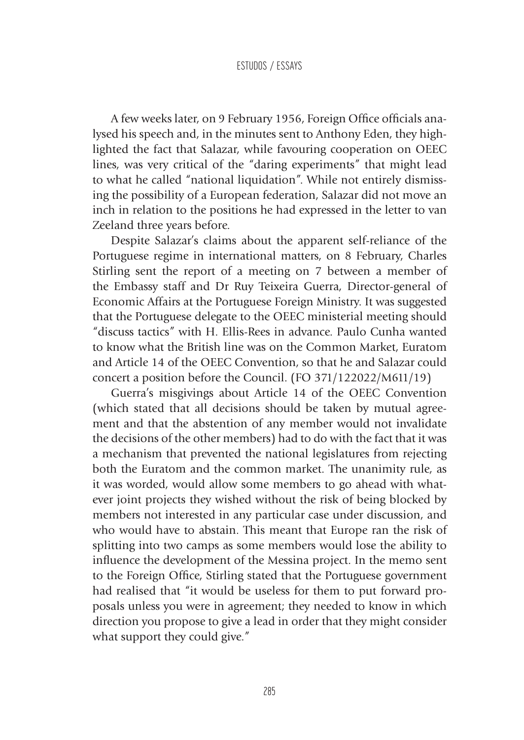A few weeks later, on 9 February 1956, Foreign Office officials analysed his speech and, in the minutes sent to Anthony Eden, they highlighted the fact that Salazar, while favouring cooperation on OEEC lines, was very critical of the "daring experiments" that might lead to what he called "national liquidation". While not entirely dismissing the possibility of a European federation, Salazar did not move an inch in relation to the positions he had expressed in the letter to van Zeeland three years before.

Despite Salazar's claims about the apparent self-reliance of the Portuguese regime in international matters, on 8 February, Charles Stirling sent the report of a meeting on 7 between a member of the Embassy staff and Dr Ruy Teixeira Guerra, Director-general of Economic Affairs at the Portuguese Foreign Ministry. It was suggested that the Portuguese delegate to the OEEC ministerial meeting should "discuss tactics" with H. Ellis-Rees in advance. Paulo Cunha wanted to know what the British line was on the Common Market, Euratom and Article 14 of the OEEC Convention, so that he and Salazar could concert a position before the Council. (FO 371/122022/M611/19)

Guerra's misgivings about Article 14 of the OEEC Convention (which stated that all decisions should be taken by mutual agreement and that the abstention of any member would not invalidate the decisions of the other members) had to do with the fact that it was a mechanism that prevented the national legislatures from rejecting both the Euratom and the common market. The unanimity rule, as it was worded, would allow some members to go ahead with whatever joint projects they wished without the risk of being blocked by members not interested in any particular case under discussion, and who would have to abstain. This meant that Europe ran the risk of splitting into two camps as some members would lose the ability to influence the development of the Messina project. In the memo sent to the Foreign Office, Stirling stated that the Portuguese government had realised that "it would be useless for them to put forward proposals unless you were in agreement; they needed to know in which direction you propose to give a lead in order that they might consider what support they could give."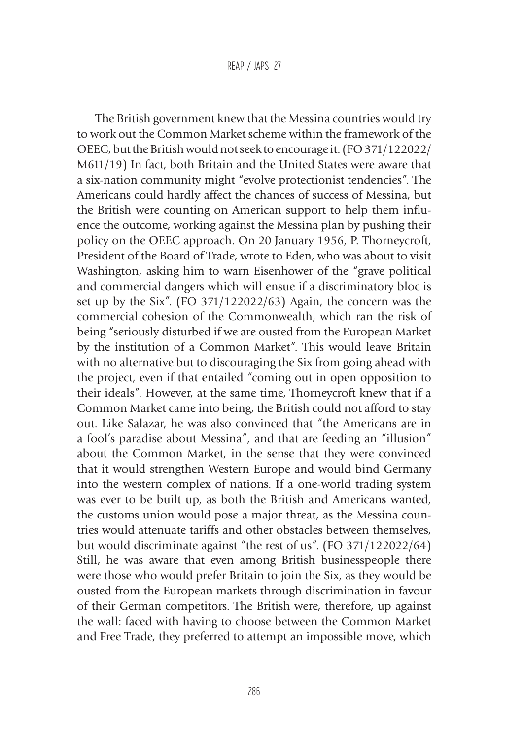The British government knew that the Messina countries would try to work out the Common Market scheme within the framework of the OEEC, but the British would not seek to encourage it. (FO 371/122022/ M611/19) In fact, both Britain and the United States were aware that a six-nation community might "evolve protectionist tendencies". The Americans could hardly affect the chances of success of Messina, but the British were counting on American support to help them influence the outcome, working against the Messina plan by pushing their policy on the OEEC approach. On 20 January 1956, P. Thorneycroft, President of the Board of Trade, wrote to Eden, who was about to visit Washington, asking him to warn Eisenhower of the "grave political and commercial dangers which will ensue if a discriminatory bloc is set up by the Six". (FO 371/122022/63) Again, the concern was the commercial cohesion of the Commonwealth, which ran the risk of being "seriously disturbed if we are ousted from the European Market by the institution of a Common Market". This would leave Britain with no alternative but to discouraging the Six from going ahead with the project, even if that entailed "coming out in open opposition to their ideals". However, at the same time, Thorneycroft knew that if a Common Market came into being, the British could not afford to stay out. Like Salazar, he was also convinced that "the Americans are in a fool's paradise about Messina", and that are feeding an "illusion" about the Common Market, in the sense that they were convinced that it would strengthen Western Europe and would bind Germany into the western complex of nations. If a one-world trading system was ever to be built up, as both the British and Americans wanted, the customs union would pose a major threat, as the Messina countries would attenuate tariffs and other obstacles between themselves, but would discriminate against "the rest of us". (FO 371/122022/64) Still, he was aware that even among British businesspeople there were those who would prefer Britain to join the Six, as they would be ousted from the European markets through discrimination in favour of their German competitors. The British were, therefore, up against the wall: faced with having to choose between the Common Market and Free Trade, they preferred to attempt an impossible move, which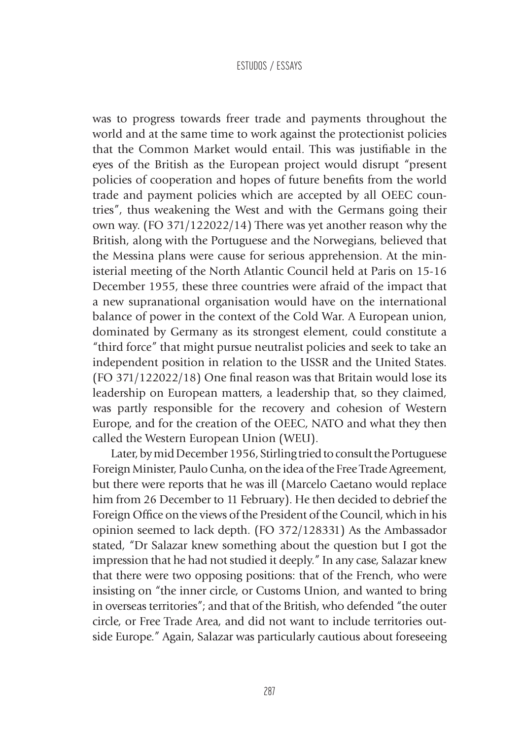was to progress towards freer trade and payments throughout the world and at the same time to work against the protectionist policies that the Common Market would entail. This was justifiable in the eyes of the British as the European project would disrupt "present policies of cooperation and hopes of future benefits from the world trade and payment policies which are accepted by all OEEC countries", thus weakening the West and with the Germans going their own way. (FO 371/122022/14) There was yet another reason why the British, along with the Portuguese and the Norwegians, believed that the Messina plans were cause for serious apprehension. At the ministerial meeting of the North Atlantic Council held at Paris on 15-16 December 1955, these three countries were afraid of the impact that a new supranational organisation would have on the international balance of power in the context of the Cold War. A European union, dominated by Germany as its strongest element, could constitute a "third force" that might pursue neutralist policies and seek to take an independent position in relation to the USSR and the United States. (FO 371/122022/18) One final reason was that Britain would lose its leadership on European matters, a leadership that, so they claimed, was partly responsible for the recovery and cohesion of Western Europe, and for the creation of the OEEC, NATO and what they then called the Western European Union (WEU).

Later, by mid December 1956, Stirling tried to consult the Portuguese Foreign Minister, Paulo Cunha, on the idea of the Free Trade Agreement, but there were reports that he was ill (Marcelo Caetano would replace him from 26 December to 11 February). He then decided to debrief the Foreign Office on the views of the President of the Council, which in his opinion seemed to lack depth. (FO 372/128331) As the Ambassador stated, "Dr Salazar knew something about the question but I got the impression that he had not studied it deeply." In any case, Salazar knew that there were two opposing positions: that of the French, who were insisting on "the inner circle, or Customs Union, and wanted to bring in overseas territories"; and that of the British, who defended "the outer circle, or Free Trade Area, and did not want to include territories outside Europe." Again, Salazar was particularly cautious about foreseeing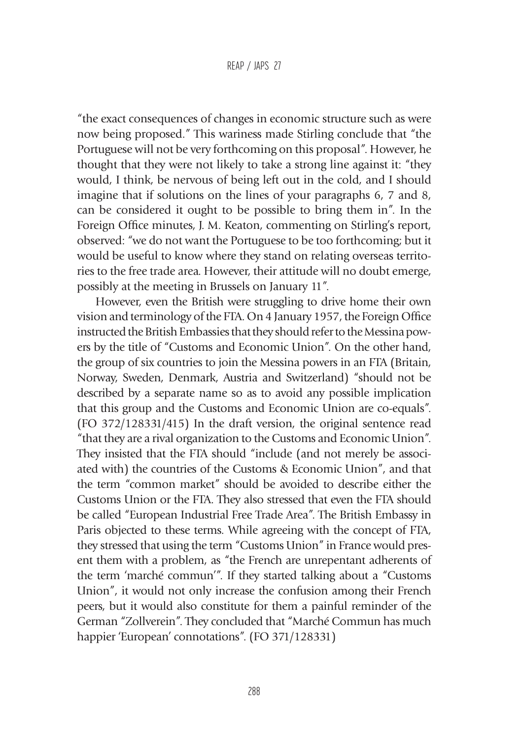"the exact consequences of changes in economic structure such as were now being proposed." This wariness made Stirling conclude that "the Portuguese will not be very forthcoming on this proposal". However, he thought that they were not likely to take a strong line against it: "they would, I think, be nervous of being left out in the cold, and I should imagine that if solutions on the lines of your paragraphs 6, 7 and 8, can be considered it ought to be possible to bring them in". In the Foreign Office minutes, J. M. Keaton, commenting on Stirling's report, observed: "we do not want the Portuguese to be too forthcoming; but it would be useful to know where they stand on relating overseas territories to the free trade area. However, their attitude will no doubt emerge, possibly at the meeting in Brussels on January 11".

However, even the British were struggling to drive home their own vision and terminology of the FTA. On 4 January 1957, the Foreign Office instructed the British Embassies that they should refer to the Messina powers by the title of "Customs and Economic Union". On the other hand, the group of six countries to join the Messina powers in an FTA (Britain, Norway, Sweden, Denmark, Austria and Switzerland) "should not be described by a separate name so as to avoid any possible implication that this group and the Customs and Economic Union are co-equals". (FO 372/128331/415) In the draft version, the original sentence read "that they are a rival organization to the Customs and Economic Union". They insisted that the FTA should "include (and not merely be associated with) the countries of the Customs & Economic Union", and that the term "common market" should be avoided to describe either the Customs Union or the FTA. They also stressed that even the FTA should be called "European Industrial Free Trade Area". The British Embassy in Paris objected to these terms. While agreeing with the concept of FTA, they stressed that using the term "Customs Union" in France would present them with a problem, as "the French are unrepentant adherents of the term 'marché commun'". If they started talking about a "Customs Union", it would not only increase the confusion among their French peers, but it would also constitute for them a painful reminder of the German "Zollverein". They concluded that "Marché Commun has much happier 'European' connotations". (FO 371/128331)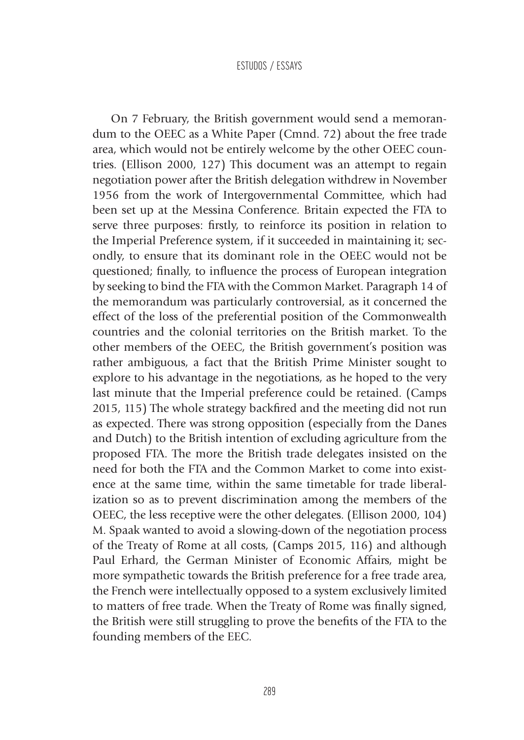On 7 February, the British government would send a memorandum to the OEEC as a White Paper (Cmnd. 72) about the free trade area, which would not be entirely welcome by the other OEEC countries. (Ellison 2000, 127) This document was an attempt to regain negotiation power after the British delegation withdrew in November 1956 from the work of Intergovernmental Committee, which had been set up at the Messina Conference. Britain expected the FTA to serve three purposes: firstly, to reinforce its position in relation to the Imperial Preference system, if it succeeded in maintaining it; secondly, to ensure that its dominant role in the OEEC would not be questioned; finally, to influence the process of European integration by seeking to bind the FTA with the Common Market. Paragraph 14 of the memorandum was particularly controversial, as it concerned the effect of the loss of the preferential position of the Commonwealth countries and the colonial territories on the British market. To the other members of the OEEC, the British government's position was rather ambiguous, a fact that the British Prime Minister sought to explore to his advantage in the negotiations, as he hoped to the very last minute that the Imperial preference could be retained. (Camps 2015, 115) The whole strategy backfired and the meeting did not run as expected. There was strong opposition (especially from the Danes and Dutch) to the British intention of excluding agriculture from the proposed FTA. The more the British trade delegates insisted on the need for both the FTA and the Common Market to come into existence at the same time, within the same timetable for trade liberalization so as to prevent discrimination among the members of the OEEC, the less receptive were the other delegates. (Ellison 2000, 104) M. Spaak wanted to avoid a slowing-down of the negotiation process of the Treaty of Rome at all costs, (Camps 2015, 116) and although Paul Erhard, the German Minister of Economic Affairs, might be more sympathetic towards the British preference for a free trade area, the French were intellectually opposed to a system exclusively limited to matters of free trade. When the Treaty of Rome was finally signed, the British were still struggling to prove the benefits of the FTA to the founding members of the EEC.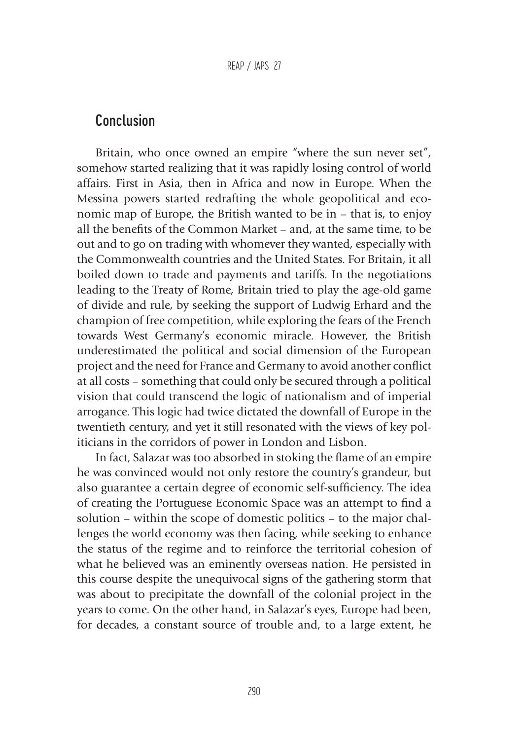# Conclusion

Britain, who once owned an empire "where the sun never set", somehow started realizing that it was rapidly losing control of world affairs. First in Asia, then in Africa and now in Europe. When the Messina powers started redrafting the whole geopolitical and economic map of Europe, the British wanted to be in – that is, to enjoy all the benefits of the Common Market – and, at the same time, to be out and to go on trading with whomever they wanted, especially with the Commonwealth countries and the United States. For Britain, it all boiled down to trade and payments and tariffs. In the negotiations leading to the Treaty of Rome, Britain tried to play the age-old game of divide and rule, by seeking the support of Ludwig Erhard and the champion of free competition, while exploring the fears of the French towards West Germany's economic miracle. However, the British underestimated the political and social dimension of the European project and the need for France and Germany to avoid another conflict at all costs – something that could only be secured through a political vision that could transcend the logic of nationalism and of imperial arrogance. This logic had twice dictated the downfall of Europe in the twentieth century, and yet it still resonated with the views of key politicians in the corridors of power in London and Lisbon.

In fact, Salazar was too absorbed in stoking the flame of an empire he was convinced would not only restore the country's grandeur, but also guarantee a certain degree of economic self-sufficiency. The idea of creating the Portuguese Economic Space was an attempt to find a solution – within the scope of domestic politics – to the major challenges the world economy was then facing, while seeking to enhance the status of the regime and to reinforce the territorial cohesion of what he believed was an eminently overseas nation. He persisted in this course despite the unequivocal signs of the gathering storm that was about to precipitate the downfall of the colonial project in the years to come. On the other hand, in Salazar's eyes, Europe had been, for decades, a constant source of trouble and, to a large extent, he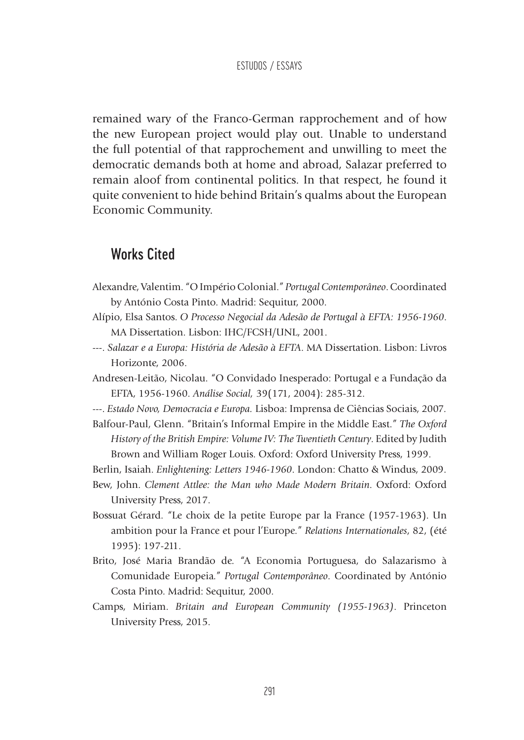remained wary of the Franco-German rapprochement and of how the new European project would play out. Unable to understand the full potential of that rapprochement and unwilling to meet the democratic demands both at home and abroad, Salazar preferred to remain aloof from continental politics. In that respect, he found it quite convenient to hide behind Britain's qualms about the European Economic Community.

### Works Cited

- Alexandre, Valentim. "O Império Colonial." *Portugal Contemporâneo*. Coordinated by António Costa Pinto. Madrid: Sequitur, 2000.
- Alípio, Elsa Santos. *O Processo Negocial da Adesão de Portugal à EFTA: 1956-1960*. MA Dissertation. Lisbon: IHC/FCSH/UNL, 2001.
- ---. *Salazar e a Europa: História de Adesão à EFTA*. MA Dissertation. Lisbon: Livros Horizonte, 2006.
- Andresen-Leitão, Nicolau. "O Convidado Inesperado: Portugal e a Fundação da EFTA, 1956-1960. *Análise Social,* 39(171, 2004): 285-312.

---. *Estado Novo, Democracia e Europa.* Lisboa: Imprensa de Ciências Sociais, 2007*.*

Balfour-Paul, Glenn. "Britain's Informal Empire in the Middle East." *The Oxford History of the British Empire: Volume IV: The Twentieth Century*. Edited by Judith Brown and William Roger Louis. Oxford: Oxford University Press, 1999.

Berlin, Isaiah. *Enlightening: Letters 1946-1960*. London: Chatto & Windus, 2009.

- Bew, John. *Clement Attlee: the Man who Made Modern Britain*. Oxford: Oxford University Press, 2017.
- Bossuat Gérard. "Le choix de la petite Europe par la France (1957-1963). Un ambition pour la France et pour l'Europe." *Relations Internationales*, 82, (été 1995): 197-211.
- Brito, José Maria Brandão de. "A Economia Portuguesa, do Salazarismo à Comunidade Europeia." *Portugal Contemporâneo*. Coordinated by António Costa Pinto. Madrid: Sequitur, 2000.
- Camps, Miriam. *Britain and European Community (1955-1963)*. Princeton University Press, 2015.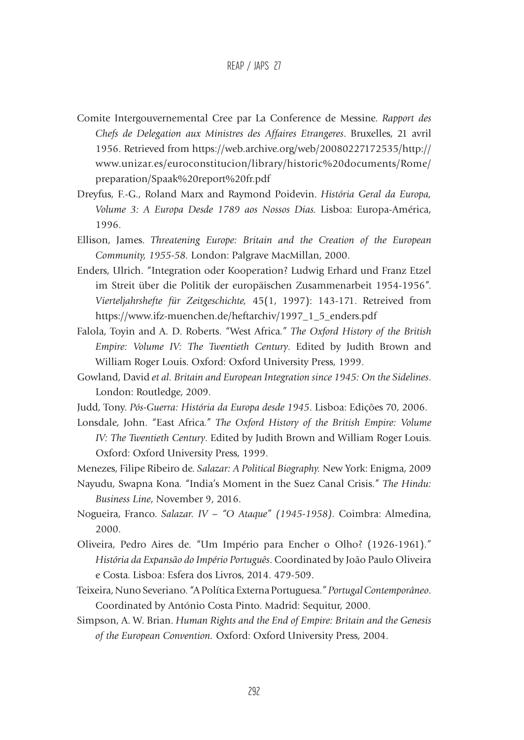- Comite Intergouvernemental Cree par La Conference de Messine. *Rapport des Chefs de Delegation aux Ministres des Affaires Etrangeres*. Bruxelles, 21 avril 1956. Retrieved from https://web.archive.org/web/20080227172535/http:// www.unizar.es/euroconstitucion/library/historic%20documents/Rome/ preparation/Spaak%20report%20fr.pdf
- Dreyfus, F.-G., Roland Marx and Raymond Poidevin. *História Geral da Europa, Volume 3: A Europa Desde 1789 aos Nossos Dias.* Lisboa: Europa-América, 1996.
- Ellison, James. *Threatening Europe: Britain and the Creation of the European Community, 1955-58.* London: Palgrave MacMillan, 2000.
- Enders, Ulrich. "Integration oder Kooperation? Ludwig Erhard und Franz Etzel im Streit über die Politik der europäischen Zusammenarbeit 1954-1956". *Vierteljahrshefte für Zeitgeschichte,* 45(1, 1997): 143-171. Retreived from https://www.ifz-muenchen.de/heftarchiv/1997\_1\_5\_enders.pdf
- Falola, Toyin and A. D. Roberts. "West Africa." *The Oxford History of the British Empire: Volume IV: The Twentieth Century*. Edited by Judith Brown and William Roger Louis. Oxford: Oxford University Press, 1999.
- Gowland, David *et al. Britain and European Integration since 1945: On the Sidelines*. London: Routledge, 2009.
- Judd, Tony. *Pós-Guerra: História da Europa desde 1945*. Lisboa: Edições 70, 2006.
- Lonsdale, John. "East Africa." *The Oxford History of the British Empire: Volume IV: The Twentieth Century*. Edited by Judith Brown and William Roger Louis. Oxford: Oxford University Press, 1999.
- Menezes, Filipe Ribeiro de. *Salazar: A Political Biography.* New York: Enigma, 2009
- Nayudu, Swapna Kona. "India's Moment in the Suez Canal Crisis." *The Hindu: Business Line*, November 9, 2016.
- Nogueira, Franco. *Salazar. IV "O Ataque" (1945-1958).* Coimbra: Almedina, 2000.
- Oliveira, Pedro Aires de. "Um Império para Encher o Olho? (1926-1961)." *História da Expansão do Império Português*. Coordinated by João Paulo Oliveira e Costa. Lisboa: Esfera dos Livros, 2014. 479-509.
- Teixeira, Nuno Severiano. "A Política Externa Portuguesa." *Portugal Contemporâneo*. Coordinated by António Costa Pinto. Madrid: Sequitur, 2000.
- Simpson, A. W. Brian. *Human Rights and the End of Empire: Britain and the Genesis of the European Convention.* Oxford: Oxford University Press, 2004.